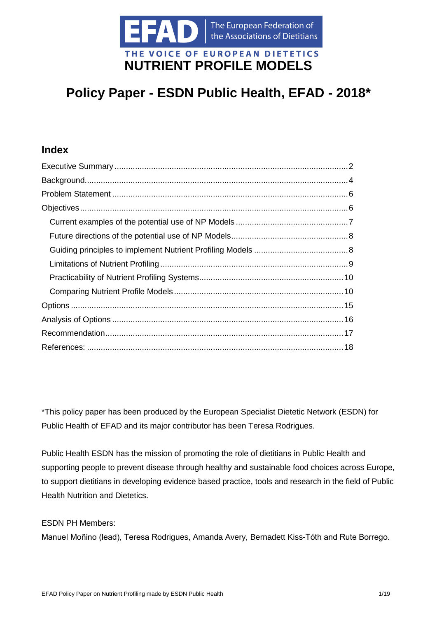

## **Policy Paper - ESDN Public Health, EFAD - 2018\***

## **Index**

\*This policy paper has been produced by the European Specialist Dietetic Network (ESDN) for Public Health of EFAD and its major contributor has been Teresa Rodrigues.

Public Health ESDN has the mission of promoting the role of dietitians in Public Health and supporting people to prevent disease through healthy and sustainable food choices across Europe, to support dietitians in developing evidence based practice, tools and research in the field of Public Health Nutrition and Dietetics.

ESDN PH Members:

Manuel Moñino (lead), Teresa Rodrigues, Amanda Avery, Bernadett Kiss-Tóth and Rute Borrego.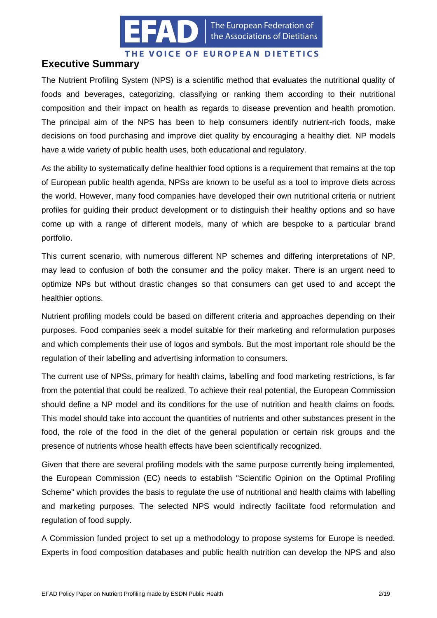

The European Federation of the Associations of Dietitians

#### THE VOICE OF EUROPEAN DIETETICS

## <span id="page-1-0"></span>**Executive Summary**

The Nutrient Profiling System (NPS) is a scientific method that evaluates the nutritional quality of foods and beverages, categorizing, classifying or ranking them according to their nutritional composition and their impact on health as regards to disease prevention and health promotion. The principal aim of the NPS has been to help consumers identify nutrient-rich foods, make decisions on food purchasing and improve diet quality by encouraging a healthy diet. NP models have a wide variety of public health uses, both educational and regulatory.

As the ability to systematically define healthier food options is a requirement that remains at the top of European public health agenda, NPSs are known to be useful as a tool to improve diets across the world. However, many food companies have developed their own nutritional criteria or nutrient profiles for guiding their product development or to distinguish their healthy options and so have come up with a range of different models, many of which are bespoke to a particular brand portfolio.

This current scenario, with numerous different NP schemes and differing interpretations of NP, may lead to confusion of both the consumer and the policy maker. There is an urgent need to optimize NPs but without drastic changes so that consumers can get used to and accept the healthier options.

Nutrient profiling models could be based on different criteria and approaches depending on their purposes. Food companies seek a model suitable for their marketing and reformulation purposes and which complements their use of logos and symbols. But the most important role should be the regulation of their labelling and advertising information to consumers.

The current use of NPSs, primary for health claims, labelling and food marketing restrictions, is far from the potential that could be realized. To achieve their real potential, the European Commission should define a NP model and its conditions for the use of nutrition and health claims on foods. This model should take into account the quantities of nutrients and other substances present in the food, the role of the food in the diet of the general population or certain risk groups and the presence of nutrients whose health effects have been scientifically recognized.

Given that there are several profiling models with the same purpose currently being implemented, the European Commission (EC) needs to establish "Scientific Opinion on the Optimal Profiling Scheme" which provides the basis to regulate the use of nutritional and health claims with labelling and marketing purposes. The selected NPS would indirectly facilitate food reformulation and regulation of food supply.

A Commission funded project to set up a methodology to propose systems for Europe is needed. Experts in food composition databases and public health nutrition can develop the NPS and also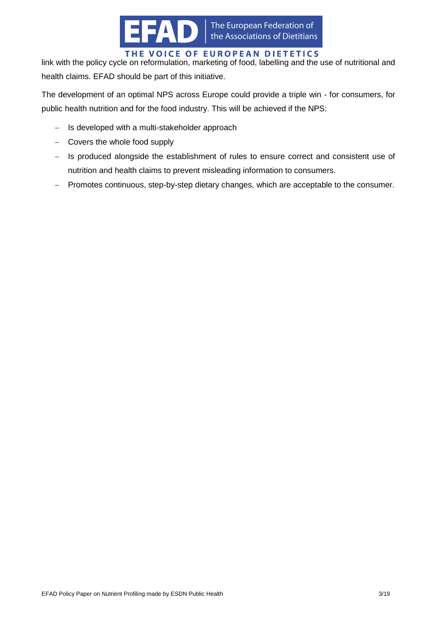

link with the policy cycle on reformulation, marketing of food, labelling and the use of nutritional and health claims. EFAD should be part of this initiative.

The development of an optimal NPS across Europe could provide a triple win - for consumers, for public health nutrition and for the food industry. This will be achieved if the NPS:

- $-$  Is developed with a multi-stakeholder approach
- $-$  Covers the whole food supply
- Is produced alongside the establishment of rules to ensure correct and consistent use of nutrition and health claims to prevent misleading information to consumers.
- Promotes continuous, step-by-step dietary changes, which are acceptable to the consumer.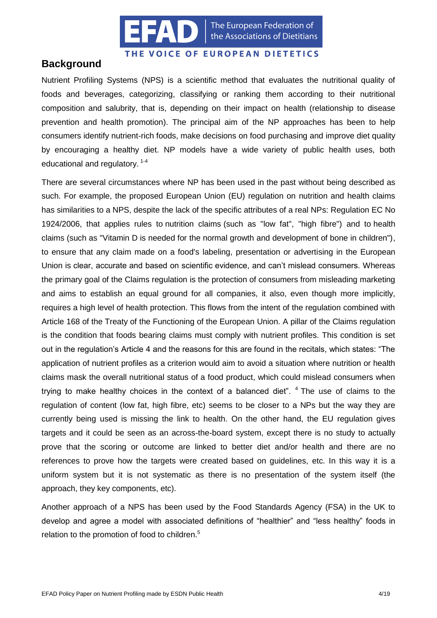

The European Federation of the Associations of Dietitians

#### THE VOICE OF EUROPEAN DIETETICS

## <span id="page-3-0"></span>**Background**

Nutrient Profiling Systems (NPS) is a scientific method that evaluates the nutritional quality of foods and beverages, categorizing, classifying or ranking them according to their nutritional composition and salubrity, that is, depending on their impact on health (relationship to disease prevention and health promotion). The principal aim of the NP approaches has been to help consumers identify nutrient-rich foods, make decisions on food purchasing and improve diet quality by encouraging a healthy diet. NP models have a wide variety of public health uses, both educational and regulatory.<sup>1-4</sup>

There are several circumstances where NP has been used in the past without being described as such. For example, the proposed European Union (EU) regulation on nutrition and health claims has similarities to a NPS, despite the lack of the specific attributes of a real NPs: [Regulation EC No](http://eur-lex.europa.eu/legal-content/EN/TXT/PDF/?uri=CELEX:02006R1924-20141213)  [1924/2006,](http://eur-lex.europa.eu/legal-content/EN/TXT/PDF/?uri=CELEX:02006R1924-20141213) that applies rules to nutrition claims (such as "low fat", "high fibre") and to health claims (such as "Vitamin D is needed for the normal growth and development of bone in children"), to ensure that any claim made on a food's labeling, presentation or advertising in the European Union is clear, accurate and based on scientific evidence, and can't mislead consumers. Whereas the primary goal of the Claims regulation is the protection of consumers from misleading marketing and aims to establish an equal ground for all companies, it also, even though more implicitly, requires a high level of health protection. This flows from the intent of the regulation combined with Article 168 of the Treaty of the Functioning of the European Union. A pillar of the Claims regulation is the condition that foods bearing claims must comply with nutrient profiles. This condition is set out in the regulation's Article 4 and the reasons for this are found in the recitals, which states: "The application of nutrient profiles as a criterion would aim to avoid a situation where nutrition or health claims mask the overall nutritional status of a food product, which could mislead consumers when trying to make healthy choices in the context of a balanced diet".  $4$  The use of claims to the regulation of content (low fat, high fibre, etc) seems to be closer to a NPs but the way they are currently being used is missing the link to health. On the other hand, the EU regulation gives targets and it could be seen as an across-the-board system, except there is no study to actually prove that the scoring or outcome are linked to better diet and/or health and there are no references to prove how the targets were created based on guidelines, etc. In this way it is a uniform system but it is not systematic as there is no presentation of the system itself (the approach, they key components, etc).

Another approach of a NPS has been used by the Food Standards Agency (FSA) in the UK to develop and agree a model with associated definitions of "healthier" and "less healthy" foods in relation to the promotion of food to children.<sup>5</sup>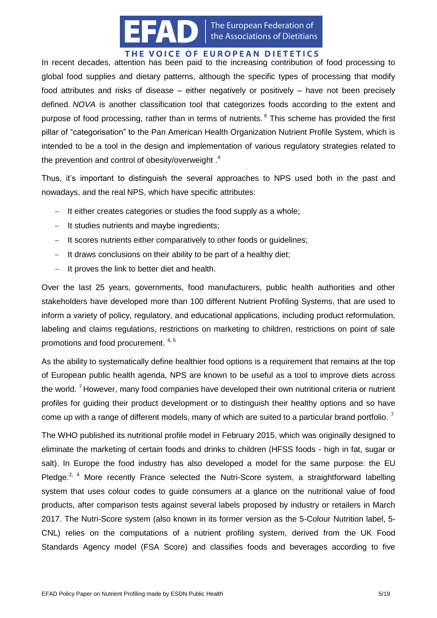

In recent decades, attention has been paid to the increasing contribution of food processing to global food supplies and dietary patterns, although the specific types of processing that modify food attributes and risks of disease – either negatively or positively – have not been precisely defined. *NOVA* is another classification tool that categorizes foods according to the extent and purpose of food processing, rather than in terms of nutrients. <sup>6</sup> This scheme has provided the first pillar of "categorisation" to the Pan American Health Organization Nutrient Profile System, which is intended to be a tool in the design and implementation of various regulatory strategies related to the prevention and control of obesity/overweight .<sup>4</sup>

Thus, it's important to distinguish the several approaches to NPS used both in the past and nowadays, and the real NPS, which have specific attributes:

- $-I$  It either creates categories or studies the food supply as a whole;
- $-I$  It studies nutrients and maybe ingredients;
- $-I$  It scores nutrients either comparatively to other foods or quidelines;
- $-I$  It draws conclusions on their ability to be part of a healthy diet;
- $-I$  It proves the link to better diet and health.

Over the last 25 years, governments, food manufacturers, public health authorities and other stakeholders have developed more than 100 different Nutrient Profiling Systems, that are used to inform a variety of policy, regulatory, and educational applications, including product reformulation, labeling and claims regulations, restrictions on marketing to children, restrictions on point of sale promotions and food procurement. 4, 5

As the ability to systematically define healthier food options is a requirement that remains at the top of European public health agenda, NPS are known to be useful as a tool to improve diets across the world.<sup>7</sup> However, many food companies have developed their own nutritional criteria or nutrient profiles for guiding their product development or to distinguish their healthy options and so have come up with a range of different models, many of which are suited to a particular brand portfolio.<sup>7</sup>

The WHO published its nutritional profile model in February 2015, which was originally designed to eliminate the marketing of certain foods and drinks to children (HFSS foods - high in fat, sugar or salt). In Europe the food industry has also developed a model for the same purpose: the EU Pledge.<sup>2, 4</sup> More recently France selected the Nutri-Score system, a straightforward labelling system that uses colour codes to guide consumers at a glance on the nutritional value of food products, after comparison tests against several labels proposed by industry or retailers in March 2017. The Nutri-Score system (also known in its former version as the 5-Colour Nutrition label, 5- CNL) relies on the computations of a nutrient profiling system, derived from the UK Food Standards Agency model (FSA Score) and classifies foods and beverages according to five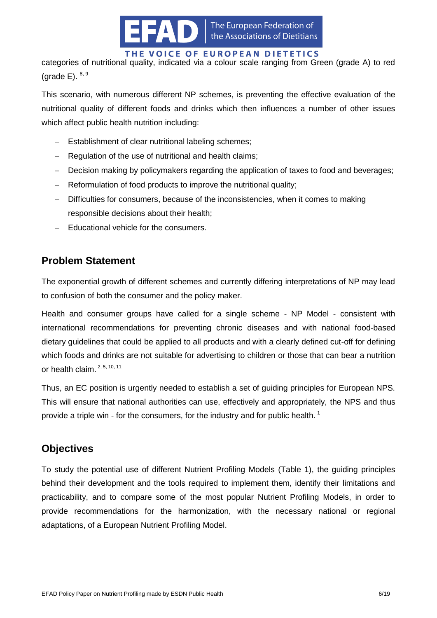

categories of nutritional quality, indicated via a colour scale ranging from Green (grade A) to red (grade  $E$ ).  $8, 9$ 

This scenario, with numerous different NP schemes, is preventing the effective evaluation of the nutritional quality of different foods and drinks which then influences a number of other issues which affect public health nutrition including:

- Establishment of clear nutritional labeling schemes;
- Regulation of the use of nutritional and health claims;
- Decision making by policymakers regarding the application of taxes to food and beverages;
- Reformulation of food products to improve the nutritional quality;
- Difficulties for consumers, because of the inconsistencies, when it comes to making responsible decisions about their health;
- $-$  Educational vehicle for the consumers.

## <span id="page-5-0"></span>**Problem Statement**

The exponential growth of different schemes and currently differing interpretations of NP may lead to confusion of both the consumer and the policy maker.

Health and consumer groups have called for a single scheme - NP Model - consistent with international recommendations for preventing chronic diseases and with national food-based dietary guidelines that could be applied to all products and with a clearly defined cut-off for defining which foods and drinks are not suitable for advertising to children or those that can bear a nutrition or health claim. 2, 5, 10, 11

Thus, an EC position is urgently needed to establish a set of guiding principles for European NPS. This will ensure that national authorities can use, effectively and appropriately, the NPS and thus provide a triple win - for the consumers, for the industry and for public health.<sup>1</sup>

## <span id="page-5-1"></span>**Objectives**

To study the potential use of different Nutrient Profiling Models (Table 1), the guiding principles behind their development and the tools required to implement them, identify their limitations and practicability, and to compare some of the most popular Nutrient Profiling Models, in order to provide recommendations for the harmonization, with the necessary national or regional adaptations, of a European Nutrient Profiling Model.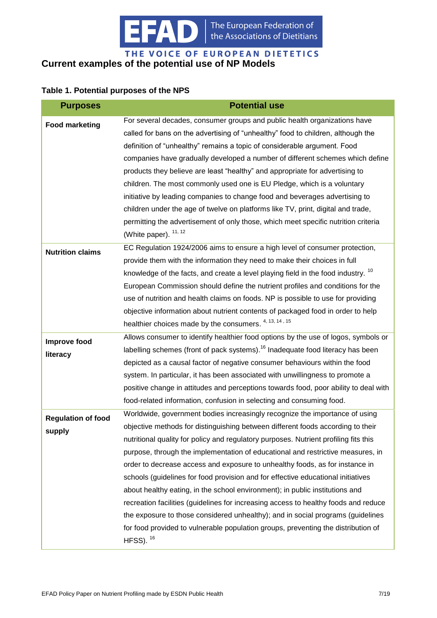

#### <span id="page-6-0"></span>THE VOICE OF EUROPEAN DIETETICS **Current examples of the potential use of NP Models**

#### **Table 1. Potential purposes of the NPS**

| <b>Purposes</b>           | <b>Potential use</b>                                                                             |
|---------------------------|--------------------------------------------------------------------------------------------------|
| <b>Food marketing</b>     | For several decades, consumer groups and public health organizations have                        |
|                           | called for bans on the advertising of "unhealthy" food to children, although the                 |
|                           | definition of "unhealthy" remains a topic of considerable argument. Food                         |
|                           | companies have gradually developed a number of different schemes which define                    |
|                           | products they believe are least "healthy" and appropriate for advertising to                     |
|                           | children. The most commonly used one is EU Pledge, which is a voluntary                          |
|                           | initiative by leading companies to change food and beverages advertising to                      |
|                           | children under the age of twelve on platforms like TV, print, digital and trade,                 |
|                           | permitting the advertisement of only those, which meet specific nutrition criteria               |
|                           | (White paper). <sup>11, 12</sup>                                                                 |
| <b>Nutrition claims</b>   | EC Regulation 1924/2006 aims to ensure a high level of consumer protection,                      |
|                           | provide them with the information they need to make their choices in full                        |
|                           | knowledge of the facts, and create a level playing field in the food industry. <sup>10</sup>     |
|                           | European Commission should define the nutrient profiles and conditions for the                   |
|                           | use of nutrition and health claims on foods. NP is possible to use for providing                 |
|                           | objective information about nutrient contents of packaged food in order to help                  |
|                           | healthier choices made by the consumers. 4, 13, 14, 15                                           |
| <b>Improve food</b>       | Allows consumer to identify healthier food options by the use of logos, symbols or               |
| literacy                  | labelling schemes (front of pack systems). <sup>16</sup> Inadequate food literacy has been       |
|                           | depicted as a causal factor of negative consumer behaviours within the food                      |
|                           | system. In particular, it has been associated with unwillingness to promote a                    |
|                           | positive change in attitudes and perceptions towards food, poor ability to deal with             |
|                           | food-related information, confusion in selecting and consuming food.                             |
| <b>Regulation of food</b> | Worldwide, government bodies increasingly recognize the importance of using                      |
| supply                    | objective methods for distinguishing between different foods according to their                  |
|                           | nutritional quality for policy and regulatory purposes. Nutrient profiling fits this             |
|                           | purpose, through the implementation of educational and restrictive measures, in                  |
|                           | order to decrease access and exposure to unhealthy foods, as for instance in                     |
|                           | schools (guidelines for food provision and for effective educational initiatives                 |
|                           | about healthy eating, in the school environment); in public institutions and                     |
|                           | recreation facilities (guidelines for increasing access to healthy foods and reduce              |
|                           | the exposure to those considered unhealthy); and in social programs (guidelines                  |
|                           | for food provided to vulnerable population groups, preventing the distribution of<br>HFSS). $16$ |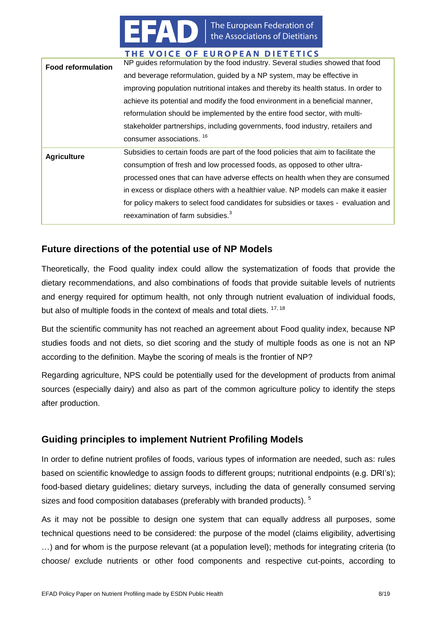

| <b>Food reformulation</b> | NP guides reformulation by the food industry. Several studies showed that food      |  |  |
|---------------------------|-------------------------------------------------------------------------------------|--|--|
|                           | and beverage reformulation, guided by a NP system, may be effective in              |  |  |
|                           | improving population nutritional intakes and thereby its health status. In order to |  |  |
|                           | achieve its potential and modify the food environment in a beneficial manner,       |  |  |
|                           | reformulation should be implemented by the entire food sector, with multi-          |  |  |
|                           | stakeholder partnerships, including governments, food industry, retailers and       |  |  |
|                           | consumer associations. <sup>16</sup>                                                |  |  |
| <b>Agriculture</b>        | Subsidies to certain foods are part of the food policies that aim to facilitate the |  |  |
|                           | consumption of fresh and low processed foods, as opposed to other ultra-            |  |  |
|                           | processed ones that can have adverse effects on health when they are consumed       |  |  |
|                           | in excess or displace others with a healthier value. NP models can make it easier   |  |  |
|                           | for policy makers to select food candidates for subsidies or taxes - evaluation and |  |  |
|                           | reexamination of farm subsidies. <sup>3</sup>                                       |  |  |

## <span id="page-7-0"></span>**Future directions of the potential use of NP Models**

Theoretically, the Food quality index could allow the systematization of foods that provide the dietary recommendations, and also combinations of foods that provide suitable levels of nutrients and energy required for optimum health, not only through nutrient evaluation of individual foods, but also of multiple foods in the context of meals and total diets. <sup>17, 18</sup>

But the scientific community has not reached an agreement about Food quality index, because NP studies foods and not diets, so diet scoring and the study of multiple foods as one is not an NP according to the definition. Maybe the scoring of meals is the frontier of NP?

Regarding agriculture, NPS could be potentially used for the development of products from animal sources (especially dairy) and also as part of the common agriculture policy to identify the steps after production.

## <span id="page-7-1"></span>**Guiding principles to implement Nutrient Profiling Models**

In order to define nutrient profiles of foods, various types of information are needed, such as: rules based on scientific knowledge to assign foods to different groups; nutritional endpoints (e.g. DRI's); food-based dietary guidelines; dietary surveys, including the data of generally consumed serving sizes and food composition databases (preferably with branded products). <sup>5</sup>

As it may not be possible to design one system that can equally address all purposes, some technical questions need to be considered: the purpose of the model (claims eligibility, advertising …) and for whom is the purpose relevant (at a population level); methods for integrating criteria (to choose/ exclude nutrients or other food components and respective cut-points, according to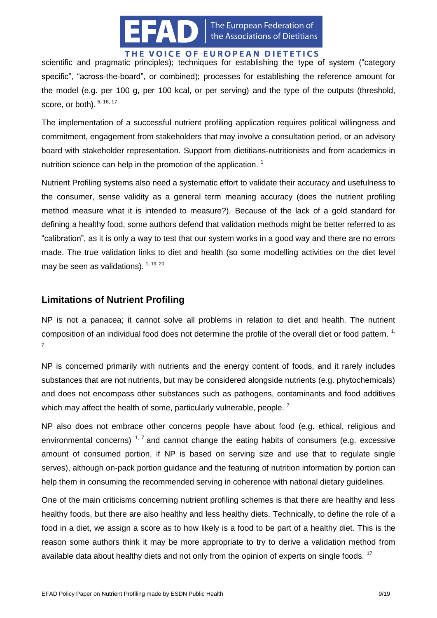

scientific and pragmatic principles); techniques for establishing the type of system ("category specific", "across-the-board", or combined); processes for establishing the reference amount for the model (e.g. per 100 g, per 100 kcal, or per serving) and the type of the outputs (threshold, score, or both). 5, 16, 17

The implementation of a successful nutrient profiling application requires political willingness and commitment, engagement from stakeholders that may involve a consultation period, or an advisory board with stakeholder representation. Support from dietitians-nutritionists and from academics in nutrition science can help in the promotion of the application.  $1$ 

Nutrient Profiling systems also need a systematic effort to validate their accuracy and usefulness to the consumer, sense validity as a general term meaning accuracy (does the nutrient profiling method measure what it is intended to measure?). Because of the lack of a gold standard for defining a healthy food, some authors defend that validation methods might be better referred to as "calibration", as it is only a way to test that our system works in a good way and there are no errors made. The true validation links to diet and health (so some modelling activities on the diet level may be seen as validations). <sup>1, 19, 20</sup>

## <span id="page-8-0"></span>**Limitations of Nutrient Profiling**

NP is not a panacea; it cannot solve all problems in relation to diet and health. The nutrient composition of an individual food does not determine the profile of the overall diet or food pattern. <sup>1,</sup> 7

NP is concerned primarily with nutrients and the energy content of foods, and it rarely includes substances that are not nutrients, but may be considered alongside nutrients (e.g. phytochemicals) and does not encompass other substances such as pathogens, contaminants and food additives which may affect the health of some, particularly vulnerable, people.<sup>7</sup>

NP also does not embrace other concerns people have about food (e.g. ethical, religious and environmental concerns)<sup>1,7</sup> and cannot change the eating habits of consumers (e.g. excessive amount of consumed portion, if NP is based on serving size and use that to regulate single serves), although on-pack portion guidance and the featuring of nutrition information by portion can help them in consuming the recommended serving in coherence with national dietary guidelines.

One of the main criticisms concerning nutrient profiling schemes is that there are healthy and less healthy foods, but there are also healthy and less healthy diets. Technically, to define the role of a food in a diet, we assign a score as to how likely is a food to be part of a healthy diet. This is the reason some authors think it may be more appropriate to try to derive a validation method from available data about healthy diets and not only from the opinion of experts on single foods.  $17$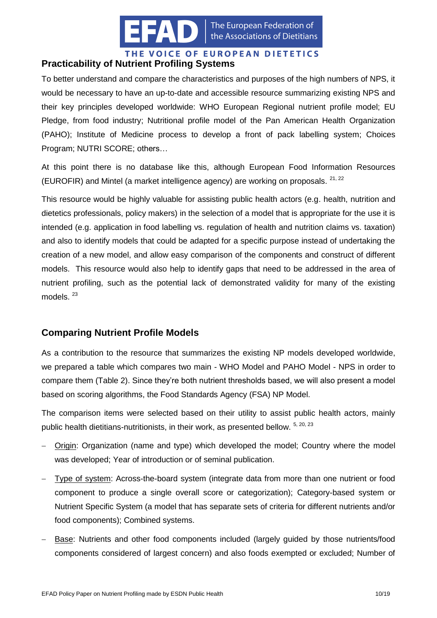

#### <span id="page-9-0"></span>THE VOICE OF EUROPEAN DIETETICS **Practicability of Nutrient Profiling Systems**

To better understand and compare the characteristics and purposes of the high numbers of NPS, it would be necessary to have an up-to-date and accessible resource summarizing existing NPS and their key principles developed worldwide: WHO European Regional nutrient profile model; EU Pledge, from food industry; Nutritional profile model of the Pan American Health Organization (PAHO); Institute of Medicine process to develop a front of pack labelling system; Choices Program; NUTRI SCORE; others…

At this point there is no database like this, although European Food Information Resources (EUROFIR) and Mintel (a market intelligence agency) are working on proposals. <sup>21, 22</sup>

This resource would be highly valuable for assisting public health actors (e.g. health, nutrition and dietetics professionals, policy makers) in the selection of a model that is appropriate for the use it is intended (e.g. application in food labelling vs. regulation of health and nutrition claims vs. taxation) and also to identify models that could be adapted for a specific purpose instead of undertaking the creation of a new model, and allow easy comparison of the components and construct of different models. This resource would also help to identify gaps that need to be addressed in the area of nutrient profiling, such as the potential lack of demonstrated validity for many of the existing models.<sup>23</sup>

## <span id="page-9-1"></span>**Comparing Nutrient Profile Models**

As a contribution to the resource that summarizes the existing NP models developed worldwide, we prepared a table which compares two main - WHO Model and PAHO Model - NPS in order to compare them (Table 2). Since they're both nutrient thresholds based, we will also present a model based on scoring algorithms, the Food Standards Agency (FSA) NP Model.

The comparison items were selected based on their utility to assist public health actors, mainly public health dietitians-nutritionists, in their work, as presented bellow. 5, 20, 23

- Origin: Organization (name and type) which developed the model; Country where the model was developed; Year of introduction or of seminal publication.
- Type of system: Across-the-board system (integrate data from more than one nutrient or food component to produce a single overall score or categorization); Category-based system or Nutrient Specific System (a model that has separate sets of criteria for different nutrients and/or food components); Combined systems.
- Base: Nutrients and other food components included (largely guided by those nutrients/food components considered of largest concern) and also foods exempted or excluded; Number of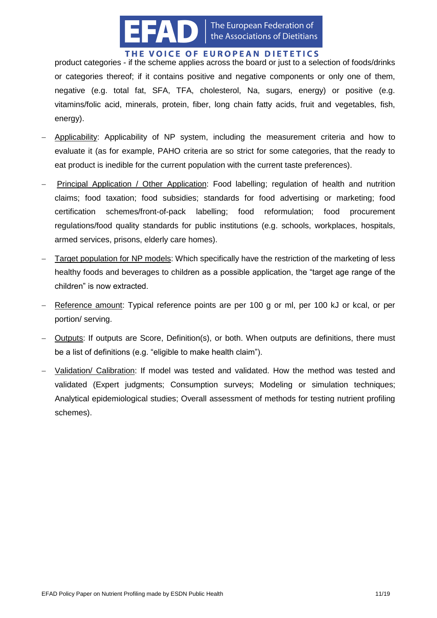

product categories - if the scheme applies across the board or just to a selection of foods/drinks or categories thereof; if it contains positive and negative components or only one of them, negative (e.g. total fat, SFA, TFA, cholesterol, Na, sugars, energy) or positive (e.g. vitamins/folic acid, minerals, protein, fiber, long chain fatty acids, fruit and vegetables, fish, energy).

- Applicability: Applicability of NP system, including the measurement criteria and how to evaluate it (as for example, PAHO criteria are so strict for some categories, that the ready to eat product is inedible for the current population with the current taste preferences).
- Principal Application / Other Application: Food labelling; regulation of health and nutrition claims; food taxation; food subsidies; standards for food advertising or marketing; food certification schemes/front-of-pack labelling; food reformulation; food procurement regulations/food quality standards for public institutions (e.g. schools, workplaces, hospitals, armed services, prisons, elderly care homes).
- Target population for NP models: Which specifically have the restriction of the marketing of less healthy foods and beverages to children as a possible application, the "target age range of the children" is now extracted.
- Reference amount: Typical reference points are per 100 g or ml, per 100 kJ or kcal, or per portion/ serving.
- Outputs: If outputs are Score, Definition(s), or both. When outputs are definitions, there must be a list of definitions (e.g. "eligible to make health claim").
- Validation/ Calibration: If model was tested and validated. How the method was tested and validated (Expert judgments; Consumption surveys; Modeling or simulation techniques; Analytical epidemiological studies; Overall assessment of methods for testing nutrient profiling schemes).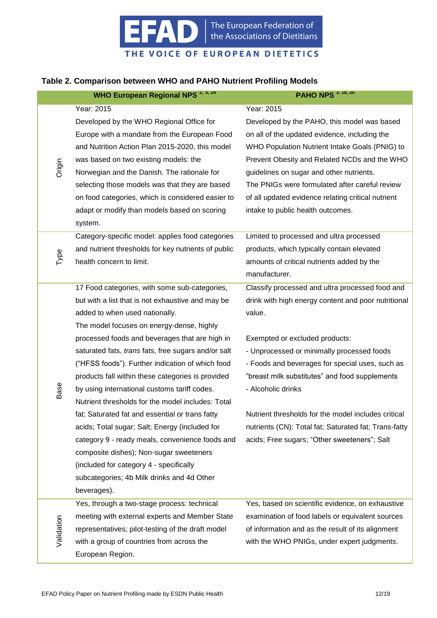

# The European Federation of<br>the Associations of Dietitians

THE VOICE OF EUROPEAN DIETETICS

#### **Table 2. Comparison between WHO and PAHO Nutrient Profiling Models**

|            | WHO European Regional NPS <sup>2, 5, 24</sup>                                                     | <b>PAHO NPS</b> 3, 18, 25                                                                         |
|------------|---------------------------------------------------------------------------------------------------|---------------------------------------------------------------------------------------------------|
|            | Year: 2015                                                                                        | Year: 2015                                                                                        |
|            | Developed by the WHO Regional Office for                                                          | Developed by the PAHO, this model was based                                                       |
|            | Europe with a mandate from the European Food                                                      | on all of the updated evidence, including the                                                     |
|            | and Nutrition Action Plan 2015-2020, this model                                                   | WHO Population Nutrient Intake Goals (PNIG) to                                                    |
|            | was based on two existing models: the                                                             | Prevent Obesity and Related NCDs and the WHO                                                      |
| Origin     | Norwegian and the Danish. The rationale for                                                       | guidelines on sugar and other nutrients.                                                          |
|            | selecting those models was that they are based                                                    | The PNIGs were formulated after careful review                                                    |
|            | on food categories, which is considered easier to                                                 | of all updated evidence relating critical nutrient                                                |
|            | adapt or modify than models based on scoring                                                      | intake to public health outcomes.                                                                 |
|            | system.                                                                                           |                                                                                                   |
|            | Category-specific model: applies food categories                                                  | Limited to processed and ultra processed                                                          |
| Type       | and nutrient thresholds for key nutrients of public                                               | products, which typically contain elevated                                                        |
|            | health concern to limit.                                                                          | amounts of critical nutrients added by the                                                        |
|            |                                                                                                   | manufacturer.                                                                                     |
|            | 17 Food categories, with some sub-categories,                                                     | Classify processed and ultra processed food and                                                   |
|            | but with a list that is not exhaustive and may be                                                 | drink with high energy content and poor nutritional                                               |
|            | added to when used nationally.                                                                    | value.                                                                                            |
|            | The model focuses on energy-dense, highly                                                         |                                                                                                   |
|            | processed foods and beverages that are high in                                                    | Exempted or excluded products:                                                                    |
|            | saturated fats, trans fats, free sugars and/or salt                                               | - Unprocessed or minimally processed foods                                                        |
|            | ("HFSS foods"). Further indication of which food                                                  | - Foods and beverages for special uses, such as<br>"breast milk substitutes" and food supplements |
|            | products fall within these categories is provided<br>by using international customs tariff codes. | - Alcoholic drinks                                                                                |
| Base       | Nutrient thresholds for the model includes: Total                                                 |                                                                                                   |
|            | fat; Saturated fat and essential or trans fatty                                                   | Nutrient thresholds for the model includes critical                                               |
|            | acids; Total sugar; Salt; Energy (included for                                                    | nutrients (CN): Total fat; Saturated fat; Trans-fatty                                             |
|            | category 9 - ready meals, convenience foods and                                                   | acids; Free sugars; "Other sweeteners"; Salt                                                      |
|            | composite dishes); Non-sugar sweeteners                                                           |                                                                                                   |
|            | (included for category 4 - specifically                                                           |                                                                                                   |
|            | subcategories; 4b Milk drinks and 4d Other                                                        |                                                                                                   |
|            | beverages).                                                                                       |                                                                                                   |
|            | Yes, through a two-stage process: technical                                                       | Yes, based on scientific evidence, on exhaustive                                                  |
|            | meeting with external experts and Member State                                                    | examination of food labels or equivalent sources                                                  |
| Validation | representatives; pilot-testing of the draft model                                                 | of information and as the result of its alignment                                                 |
|            | with a group of countries from across the                                                         | with the WHO PNIGs, under expert judgments.                                                       |
|            | European Region.                                                                                  |                                                                                                   |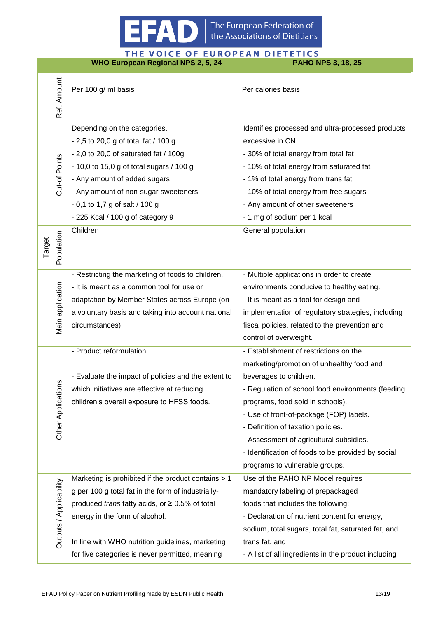

THE VOICE OF EUROPEAN DIETETICS **WHO European Regional NPS 2, 5, 24 PAHO NPS 3, 18, 25**For 100 g/m basis<br>  $\frac{3}{2}$ <br>  $\frac{3}{2}$ <br>  $\frac{3}{2}$ <br>  $\frac{3}{2}$ <br>  $\frac{3}{2}$ <br>  $\frac{3}{2}$ <br>  $\frac{3}{2}$ <br>  $\frac{3}{2}$ <br>  $\frac{3}{2}$ <br>  $\frac{3}{2}$ <br>  $\frac{3}{2}$ <br>  $\frac{3}{2}$ <br>  $\frac{3}{2}$ <br>  $\frac{3}{2}$ <br>  $\frac{3}{2}$ <br>  $\frac{3}{2}$ <br>  $\frac{3}{2}$ <br>  $\frac{3}{2}$ <br>  $\frac{$ Per 100 g/ ml basis Per calories basis Depending on the categories. Identifies processed and ultra-processed products - 2,5 to 20,0 g of total fat / 100 g excessive in CN. - 2,0 to 20,0 of saturated fat / 100g - 30% of total energy from total fat Cut-of Points - 10,0 to 15,0 g of total sugars / 100 g - 10% of total energy from saturated fat - Any amount of added sugars - 1% of total energy from trans fat - Any amount of non-sugar sweeteners - 10% of total energy from free sugars - 0,1 to 1,7 g of salt / 100 g - Any amount of other sweeteners - 225 Kcal / 100 g of category 9 - 1 mg of sodium per 1 kcal Children Children General population Population Target - Restricting the marketing of foods to children. - Multiple applications in order to create Main application - It is meant as a common tool for use or environments conducive to healthy eating. adaptation by Member States across Europe (on - It is meant as a tool for design and a voluntary basis and taking into account national implementation of regulatory strategies, including circumstances). fiscal policies, related to the prevention and control of overweight. - Product reformulation. - Establishment of restrictions on the marketing/promotion of unhealthy food and - Evaluate the impact of policies and the extent to beverages to children. Other Applications which initiatives are effective at reducing - Regulation of school food environments (feeding children's overall exposure to HFSS foods. programs, food sold in schools). - Use of front-of-package (FOP) labels. - Definition of taxation policies. - Assessment of agricultural subsidies. - Identification of foods to be provided by social programs to vulnerable groups. Marketing is prohibited if the product contains > 1 Use of the PAHO NP Model requires Outputs **/** Applicability g per 100 g total fat in the form of industriallymandatory labeling of prepackaged produced *trans* fatty acids, or ≥ 0.5% of total foods that includes the following: energy in the form of alcohol. - Declaration of nutrient content for energy,

In line with WHO nutrition guidelines, marketing for five categories is never permitted, meaning sodium, total sugars, total fat, saturated fat, and trans fat, and - A list of all ingredients in the product including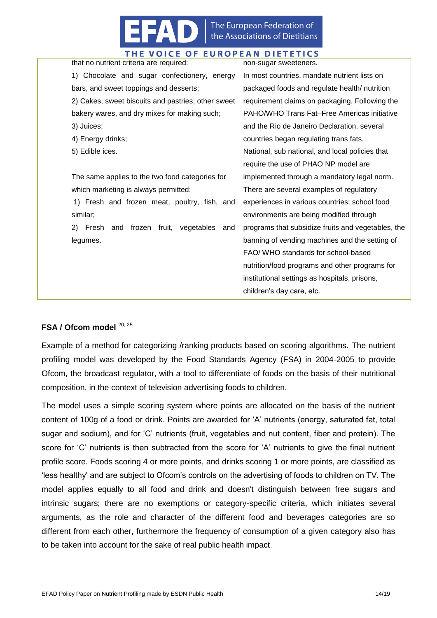

| that no nutrient criteria are required:            | non-sugar sweeteners.                              |
|----------------------------------------------------|----------------------------------------------------|
| Chocolate and sugar confectionery, energy<br>1)    | In most countries, mandate nutrient lists on       |
| bars, and sweet toppings and desserts;             | packaged foods and regulate health/ nutrition      |
| 2) Cakes, sweet biscuits and pastries; other sweet | requirement claims on packaging. Following the     |
| bakery wares, and dry mixes for making such;       | PAHO/WHO Trans Fat-Free Americas initiative        |
| 3) Juices;                                         | and the Rio de Janeiro Declaration, several        |
| 4) Energy drinks;                                  | countries began regulating trans fats.             |
| 5) Edible ices.                                    | National, sub national, and local policies that    |
|                                                    | require the use of PHAO NP model are               |
| The same applies to the two food categories for    | implemented through a mandatory legal norm.        |
| which marketing is always permitted:               | There are several examples of regulatory           |
| 1) Fresh and frozen meat, poultry, fish, and       | experiences in various countries: school food      |
| similar;                                           | environments are being modified through            |
| frozen fruit, vegetables and<br>2)<br>Fresh<br>and | programs that subsidize fruits and vegetables, the |
| legumes.                                           | banning of vending machines and the setting of     |
|                                                    | FAO/ WHO standards for school-based                |
|                                                    | nutrition/food programs and other programs for     |
|                                                    | institutional settings as hospitals, prisons,      |
|                                                    | children's day care, etc.                          |
|                                                    |                                                    |

#### FSA / Ofcom model <sup>20, 25</sup>

Example of a method for categorizing /ranking products based on scoring algorithms. The nutrient profiling model was developed by the Food Standards Agency (FSA) in 2004-2005 to provide Ofcom, the broadcast regulator, with a tool to differentiate of foods on the basis of their nutritional composition, in the context of television advertising foods to children.

The model uses a simple scoring system where points are allocated on the basis of the nutrient content of 100g of a food or drink. Points are awarded for 'A' nutrients (energy, saturated fat, total sugar and sodium), and for 'C' nutrients (fruit, vegetables and nut content, fiber and protein). The score for 'C' nutrients is then subtracted from the score for 'A' nutrients to give the final nutrient profile score. Foods scoring 4 or more points, and drinks scoring 1 or more points, are classified as 'less healthy' and are subject to Ofcom's controls on the advertising of foods to children on TV. The model applies equally to all food and drink and doesn't distinguish between free sugars and intrinsic sugars; there are no exemptions or category-specific criteria, which initiates several arguments, as the role and character of the different food and beverages categories are so different from each other, furthermore the frequency of consumption of a given category also has to be taken into account for the sake of real public health impact.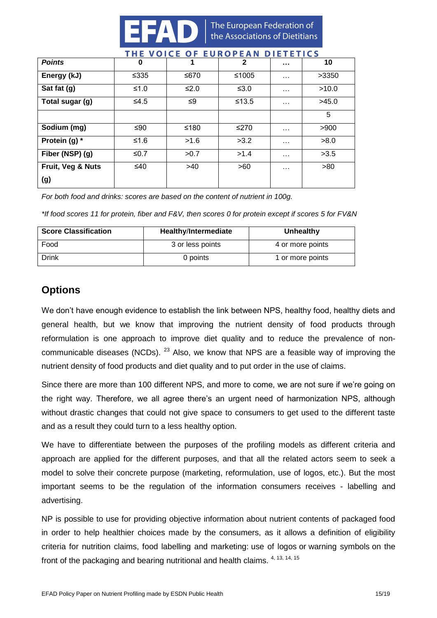

|                   | .       | _____<br>$\sim$ | - - - - - - - - - - - - - - - - - - |          |       |
|-------------------|---------|-----------------|-------------------------------------|----------|-------|
| <b>Points</b>     | 0       | 1               | $\mathbf{2}$                        | $\cdots$ | 10    |
| Energy (kJ)       | ≤ $335$ | ≤670            | ≤1005                               | $\cdots$ | >3350 |
| Sat fat (g)       | $≤1.0$  | ≤2.0            | ≤ $3.0$                             | $\cdots$ | >10.0 |
| Total sugar (g)   | $≤4.5$  | ≤9              | $≤13.5$                             | $\cdots$ | >45.0 |
|                   |         |                 |                                     |          | 5     |
| Sodium (mg)       | ≤90     | ≤180            | ≤270                                | $\cdots$ | >900  |
| Protein (g) $*$   | ≤1.6    | >1.6            | >3.2                                | $\cdots$ | >8.0  |
| Fiber (NSP) (g)   | ≤ $0.7$ | >0.7            | >1.4                                | $\cdots$ | >3.5  |
| Fruit, Veg & Nuts | ≤40     | >40             | >60                                 | $\cdots$ | >80   |
| (g)               |         |                 |                                     |          |       |

## VOICE OF FUROPEAN DIFTETICS

*For both food and drinks: scores are based on the content of nutrient in 100g.*

*\*If food scores 11 for protein, fiber and F&V, then scores 0 for protein except if scores 5 for FV&N*

| <b>Score Classification</b> | Healthy/Intermediate | Unhealthy        |
|-----------------------------|----------------------|------------------|
| Food                        | 3 or less points     | 4 or more points |
| Drink                       | 0 points             | 1 or more points |

## <span id="page-14-0"></span>**Options**

We don't have enough evidence to establish the link between NPS, healthy food, healthy diets and general health, but we know that improving the nutrient density of food products through reformulation is one approach to improve diet quality and to reduce the prevalence of noncommunicable diseases (NCDs),  $^{23}$  Also, we know that NPS are a feasible way of improving the nutrient density of food products and diet quality and to put order in the use of claims.

Since there are more than 100 different NPS, and more to come, we are not sure if we're going on the right way. Therefore, we all agree there's an urgent need of harmonization NPS, although without drastic changes that could not give space to consumers to get used to the different taste and as a result they could turn to a less healthy option.

We have to differentiate between the purposes of the profiling models as different criteria and approach are applied for the different purposes, and that all the related actors seem to seek a model to solve their concrete purpose (marketing, reformulation, use of logos, etc.). But the most important seems to be the regulation of the information consumers receives - labelling and advertising.

NP is possible to use for providing objective information about nutrient contents of packaged food in order to help healthier choices made by the consumers, as it allows a definition of eligibility criteria for nutrition claims, food labelling and marketing: use of logos or warning symbols on the front of the packaging and bearing nutritional and health claims. 4, 13, 14, 15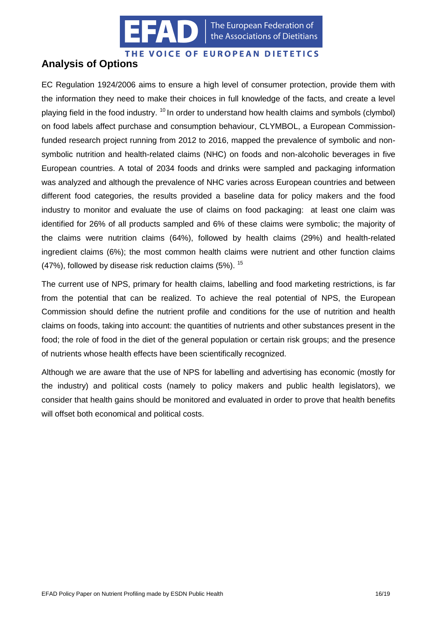

The European Federation of the Associations of Dietitians

#### THE VOICE OF EUROPEAN DIETETICS

## <span id="page-15-0"></span>**Analysis of Options**

EC Regulation 1924/2006 aims to ensure a high level of consumer protection, provide them with the information they need to make their choices in full knowledge of the facts, and create a level playing field in the food industry.  $10$  In order to understand how health claims and symbols (clymbol) on food labels affect purchase and consumption behaviour, CLYMBOL, a European Commissionfunded research project running from 2012 to 2016, mapped the prevalence of symbolic and nonsymbolic nutrition and health-related claims (NHC) on foods and non-alcoholic beverages in five European countries. A total of 2034 foods and drinks were sampled and packaging information was analyzed and although the prevalence of NHC varies across European countries and between different food categories, the results provided a baseline data for policy makers and the food industry to monitor and evaluate the use of claims on food packaging: at least one claim was identified for 26% of all products sampled and 6% of these claims were symbolic; the majority of the claims were nutrition claims (64%), followed by health claims (29%) and health-related ingredient claims (6%); the most common health claims were nutrient and other function claims (47%), followed by disease risk reduction claims  $(5\%)$ .  $^{15}$ 

The current use of NPS, primary for health claims, labelling and food marketing restrictions, is far from the potential that can be realized. To achieve the real potential of NPS, the European Commission should define the nutrient profile and conditions for the use of nutrition and health claims on foods, taking into account: the quantities of nutrients and other substances present in the food; the role of food in the diet of the general population or certain risk groups; and the presence of nutrients whose health effects have been scientifically recognized.

Although we are aware that the use of NPS for labelling and advertising has economic (mostly for the industry) and political costs (namely to policy makers and public health legislators), we consider that health gains should be monitored and evaluated in order to prove that health benefits will offset both economical and political costs.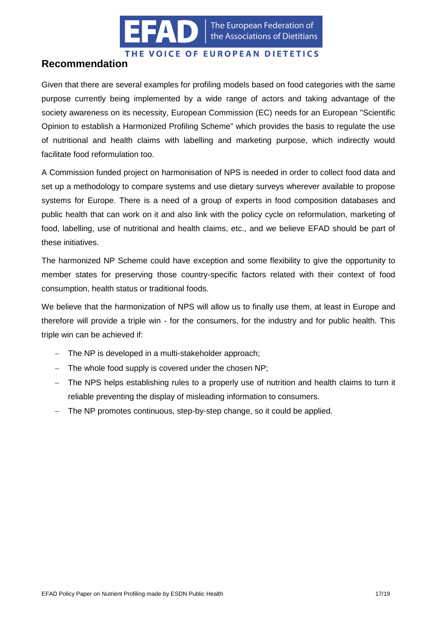

## <span id="page-16-0"></span>**Recommendation**

Given that there are several examples for profiling models based on food categories with the same purpose currently being implemented by a wide range of actors and taking advantage of the society awareness on its necessity, European Commission (EC) needs for an European "Scientific Opinion to establish a Harmonized Profiling Scheme" which provides the basis to regulate the use of nutritional and health claims with labelling and marketing purpose, which indirectly would facilitate food reformulation too.

A Commission funded project on harmonisation of NPS is needed in order to collect food data and set up a methodology to compare systems and use dietary surveys wherever available to propose systems for Europe. There is a need of a group of experts in food composition databases and public health that can work on it and also link with the policy cycle on reformulation, marketing of food, labelling, use of nutritional and health claims, etc., and we believe EFAD should be part of these initiatives.

The harmonized NP Scheme could have exception and some flexibility to give the opportunity to member states for preserving those country-specific factors related with their context of food consumption, health status or traditional foods.

We believe that the harmonization of NPS will allow us to finally use them, at least in Europe and therefore will provide a triple win - for the consumers, for the industry and for public health. This triple win can be achieved if:

- The NP is developed in a multi-stakeholder approach;
- $-$  The whole food supply is covered under the chosen NP;
- The NPS helps establishing rules to a properly use of nutrition and health claims to turn it reliable preventing the display of misleading information to consumers.
- The NP promotes continuous, step-by-step change, so it could be applied.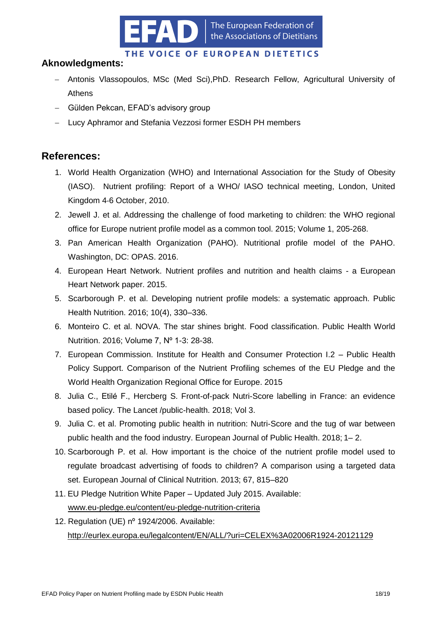

## **Aknowledgments:**

- Antonis Vlassopoulos, MSc (Med Sci),PhD. Research Fellow, Agricultural University of Athens
- Gülden Pekcan, EFAD's advisory group
- Lucy Aphramor and Stefania Vezzosi former ESDH PH members

## <span id="page-17-0"></span>**References:**

- 1. World Health Organization (WHO) and International Association for the Study of Obesity (IASO). Nutrient profiling: Report of a WHO/ IASO technical meeting, London, United Kingdom 4‐6 October, 2010.
- 2. Jewell J. et al. Addressing the challenge of food marketing to children: the WHO regional office for Europe nutrient profile model as a common tool. 2015; Volume 1, 205-268.
- 3. Pan American Health Organization (PAHO). Nutritional profile model of the PAHO. Washington, DC: OPAS. 2016.
- 4. European Heart Network. Nutrient profiles and nutrition and health claims a European Heart Network paper. 2015.
- 5. Scarborough P. et al. Developing nutrient profile models: a systematic approach. Public Health Nutrition. 2016; 10(4), 330–336.
- 6. Monteiro C. et al. NOVA. The star shines bright. Food classification. Public Health World Nutrition. 2016; Volume 7, Nº 1-3: 28-38.
- 7. European Commission. Institute for Health and Consumer Protection I.2 Public Health Policy Support. Comparison of the Nutrient Profiling schemes of the EU Pledge and the World Health Organization Regional Office for Europe. 2015
- 8. Julia C., Etilé F., Hercberg S. Front-of-pack Nutri-Score labelling in France: an evidence based policy. The Lancet /public-health. 2018; Vol 3.
- 9. Julia C. et al. Promoting public health in nutrition: Nutri-Score and the tug of war between public health and the food industry. European Journal of Public Health. 2018; 1– 2.
- 10. Scarborough P. et al. How important is the choice of the nutrient profile model used to regulate broadcast advertising of foods to children? A comparison using a targeted data set. European Journal of Clinical Nutrition. 2013; 67, 815–820
- 11. EU Pledge Nutrition White Paper Updated July 2015. Available: [www.eu-pledge.eu/content/eu-pledge-nutrition-criteria](http://www.eu-pledge.eu/content/eu-pledge-nutrition-criteria)
- 12. Regulation (UE) nº 1924/2006. Available: <http://eurlex.europa.eu/legalcontent/EN/ALL/?uri=CELEX%3A02006R1924-20121129>